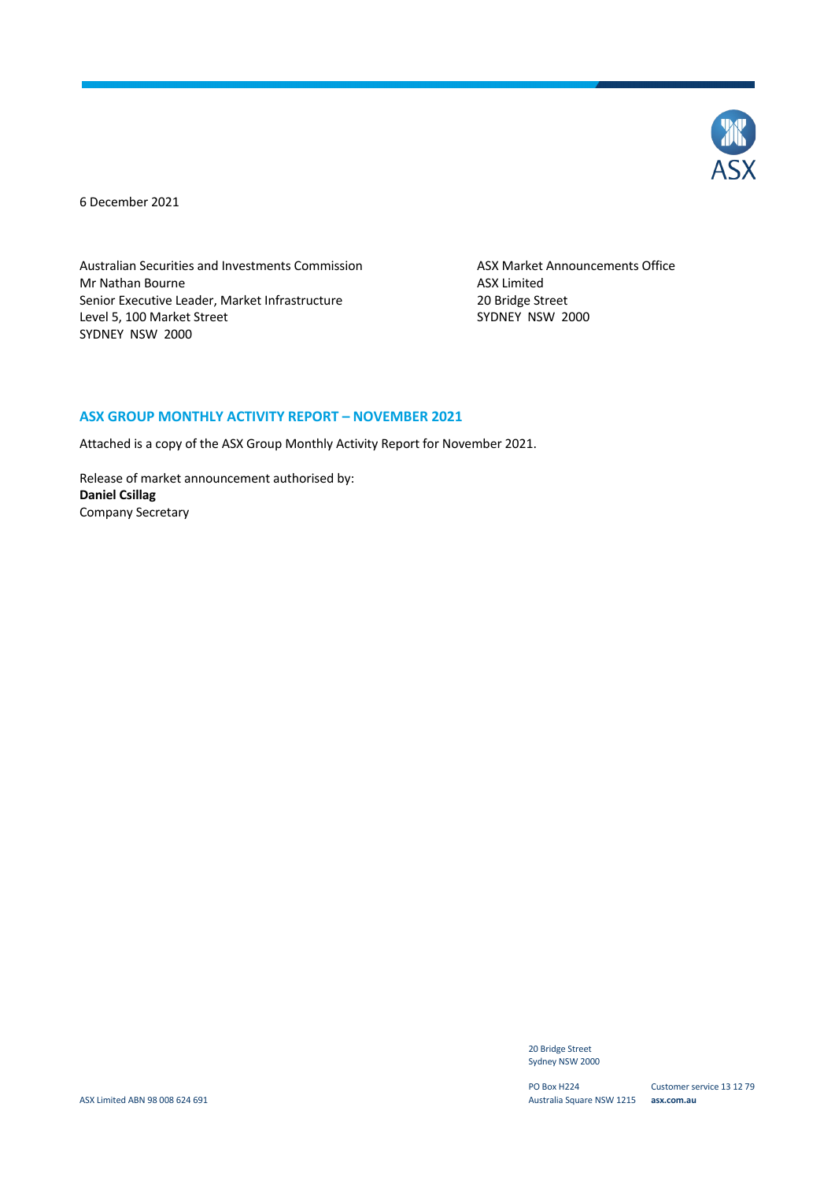

6 December 2021

Australian Securities and Investments Commission ASX Market Announcements Office Mr Nathan Bourne **ASX** Limited Senior Executive Leader, Market Infrastructure 20 Bridge Street<br>
20 Bridge Street<br>
2000 SYDNEY NSW Level 5, 100 Market Street SYDNEY NSW 2000

#### **ASX GROUP MONTHLY ACTIVITY REPORT – NOVEMBER 2021**

Attached is a copy of the ASX Group Monthly Activity Report for November 2021.

Release of market announcement authorised by: **Daniel Csillag** Company Secretary

> 20 Bridge Street Sydney NSW 2000

PO Box H224 Australia Square NSW 1215 **asx.com.au**

Customer service 13 12 79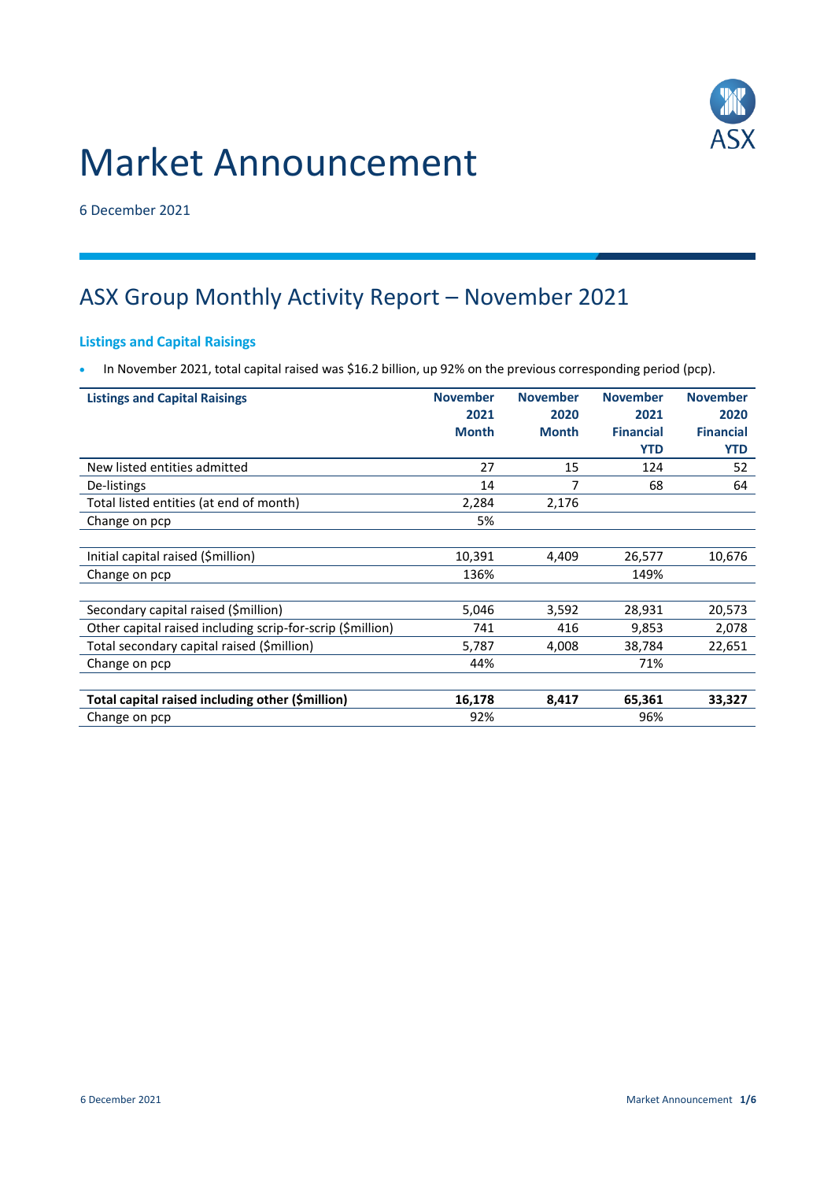# Market Announcement



6 December 2021

# ASX Group Monthly Activity Report – November 2021

# **Listings and Capital Raisings**

In November 2021, total capital raised was \$16.2 billion, up 92% on the previous corresponding period (pcp).

| <b>Listings and Capital Raisings</b>                       | <b>November</b> | <b>November</b> | <b>November</b>  | <b>November</b>  |
|------------------------------------------------------------|-----------------|-----------------|------------------|------------------|
|                                                            | 2021            | 2020            | 2021             | 2020             |
|                                                            | <b>Month</b>    | <b>Month</b>    | <b>Financial</b> | <b>Financial</b> |
|                                                            |                 |                 | <b>YTD</b>       | <b>YTD</b>       |
| New listed entities admitted                               | 27              | 15              | 124              | 52               |
| De-listings                                                | 14              |                 | 68               | 64               |
| Total listed entities (at end of month)                    | 2,284           | 2,176           |                  |                  |
| Change on pcp                                              | 5%              |                 |                  |                  |
|                                                            |                 |                 |                  |                  |
| Initial capital raised (\$million)                         | 10,391          | 4,409           | 26,577           | 10,676           |
| Change on pcp                                              | 136%            |                 | 149%             |                  |
|                                                            |                 |                 |                  |                  |
| Secondary capital raised (\$million)                       | 5,046           | 3,592           | 28,931           | 20,573           |
| Other capital raised including scrip-for-scrip (\$million) | 741             | 416             | 9,853            | 2,078            |
| Total secondary capital raised (\$million)                 | 5,787           | 4,008           | 38,784           | 22,651           |
| Change on pcp                                              | 44%             |                 | 71%              |                  |
|                                                            |                 |                 |                  |                  |
| Total capital raised including other (\$million)           | 16,178          | 8,417           | 65,361           | 33,327           |
| Change on pcp                                              | 92%             |                 | 96%              |                  |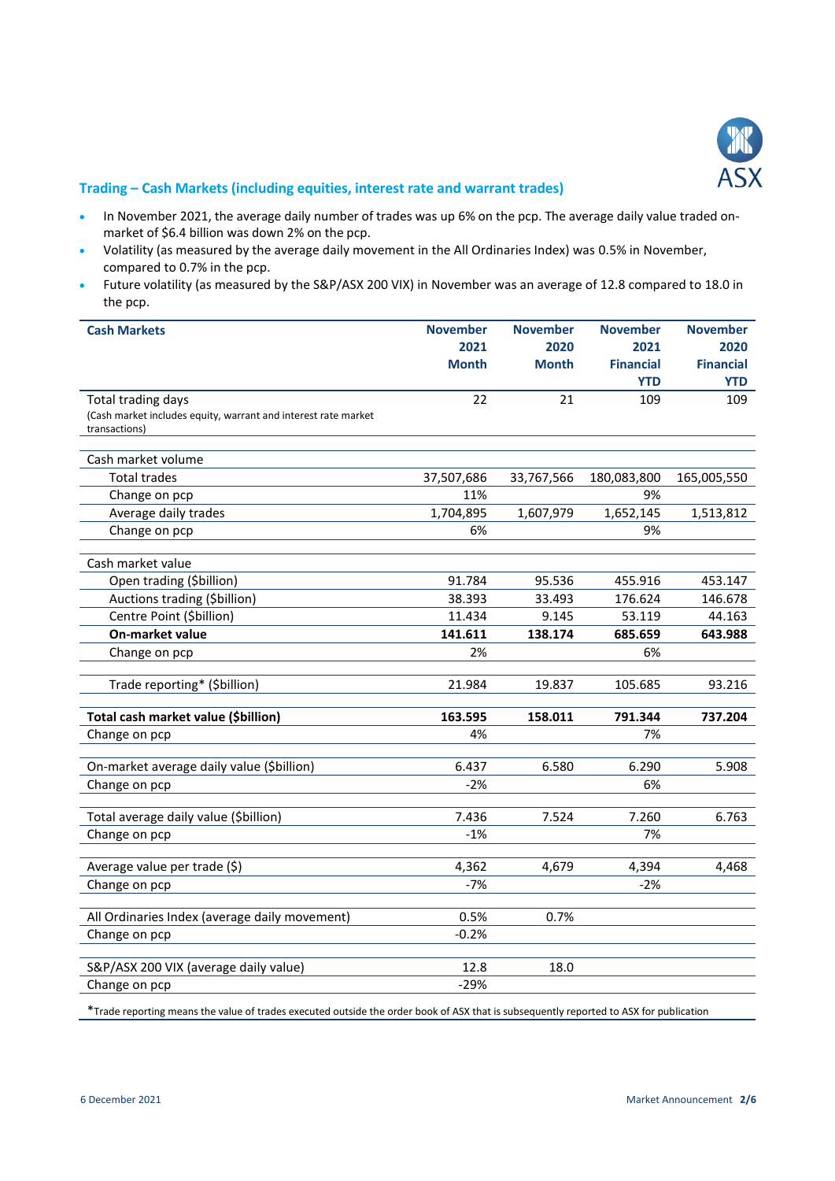

#### **Trading – Cash Markets (including equities, interest rate and warrant trades)**

- In November 2021, the average daily number of trades was up 6% on the pcp. The average daily value traded onmarket of \$6.4 billion was down 2% on the pcp.
- Volatility (as measured by the average daily movement in the All Ordinaries Index) was 0.5% in November, compared to 0.7% in the pcp.
- Future volatility (as measured by the S&P/ASX 200 VIX) in November was an average of 12.8 compared to 18.0 in the pcp.

| <b>Cash Markets</b>                                            | <b>November</b> | <b>November</b> | <b>November</b>  | <b>November</b>  |
|----------------------------------------------------------------|-----------------|-----------------|------------------|------------------|
|                                                                | 2021            | 2020            | 2021             | 2020             |
|                                                                | <b>Month</b>    | <b>Month</b>    | <b>Financial</b> | <b>Financial</b> |
|                                                                |                 |                 | <b>YTD</b>       | <b>YTD</b>       |
| Total trading days                                             | 22              | 21              | 109              | 109              |
| (Cash market includes equity, warrant and interest rate market |                 |                 |                  |                  |
| transactions)                                                  |                 |                 |                  |                  |
| Cash market volume                                             |                 |                 |                  |                  |
| <b>Total trades</b>                                            | 37,507,686      | 33,767,566      | 180,083,800      | 165,005,550      |
| Change on pcp                                                  | 11%             |                 | 9%               |                  |
| Average daily trades                                           | 1,704,895       | 1,607,979       | 1,652,145        | 1,513,812        |
| Change on pcp                                                  | 6%              |                 | 9%               |                  |
|                                                                |                 |                 |                  |                  |
| Cash market value                                              |                 |                 |                  |                  |
| Open trading (\$billion)                                       | 91.784          | 95.536          | 455.916          | 453.147          |
| Auctions trading (\$billion)                                   | 38.393          | 33.493          | 176.624          | 146.678          |
| Centre Point (\$billion)                                       | 11.434          | 9.145           | 53.119           | 44.163           |
| <b>On-market value</b>                                         | 141.611         | 138.174         | 685.659          | 643.988          |
| Change on pcp                                                  | 2%              |                 | 6%               |                  |
| Trade reporting* (\$billion)                                   | 21.984          | 19.837          | 105.685          | 93.216           |
|                                                                |                 |                 |                  |                  |
| Total cash market value (\$billion)                            | 163.595         | 158.011         | 791.344          | 737.204          |
| Change on pcp                                                  | 4%              |                 | 7%               |                  |
| On-market average daily value (\$billion)                      | 6.437           | 6.580           | 6.290            | 5.908            |
| Change on pcp                                                  | $-2%$           |                 | 6%               |                  |
|                                                                |                 |                 |                  |                  |
| Total average daily value (\$billion)                          | 7.436           | 7.524           | 7.260            | 6.763            |
| Change on pcp                                                  | $-1%$           |                 | 7%               |                  |
|                                                                | 4,362           |                 |                  |                  |
| Average value per trade (\$)                                   |                 | 4,679           | 4,394            | 4,468            |
| Change on pcp                                                  | $-7%$           |                 | $-2%$            |                  |
| All Ordinaries Index (average daily movement)                  | 0.5%            | 0.7%            |                  |                  |
| Change on pcp                                                  | $-0.2%$         |                 |                  |                  |
|                                                                |                 |                 |                  |                  |
| S&P/ASX 200 VIX (average daily value)                          | 12.8            | 18.0            |                  |                  |
| Change on pcp                                                  | $-29%$          |                 |                  |                  |

\*Trade reporting means the value of trades executed outside the order book of ASX that is subsequently reported to ASX for publication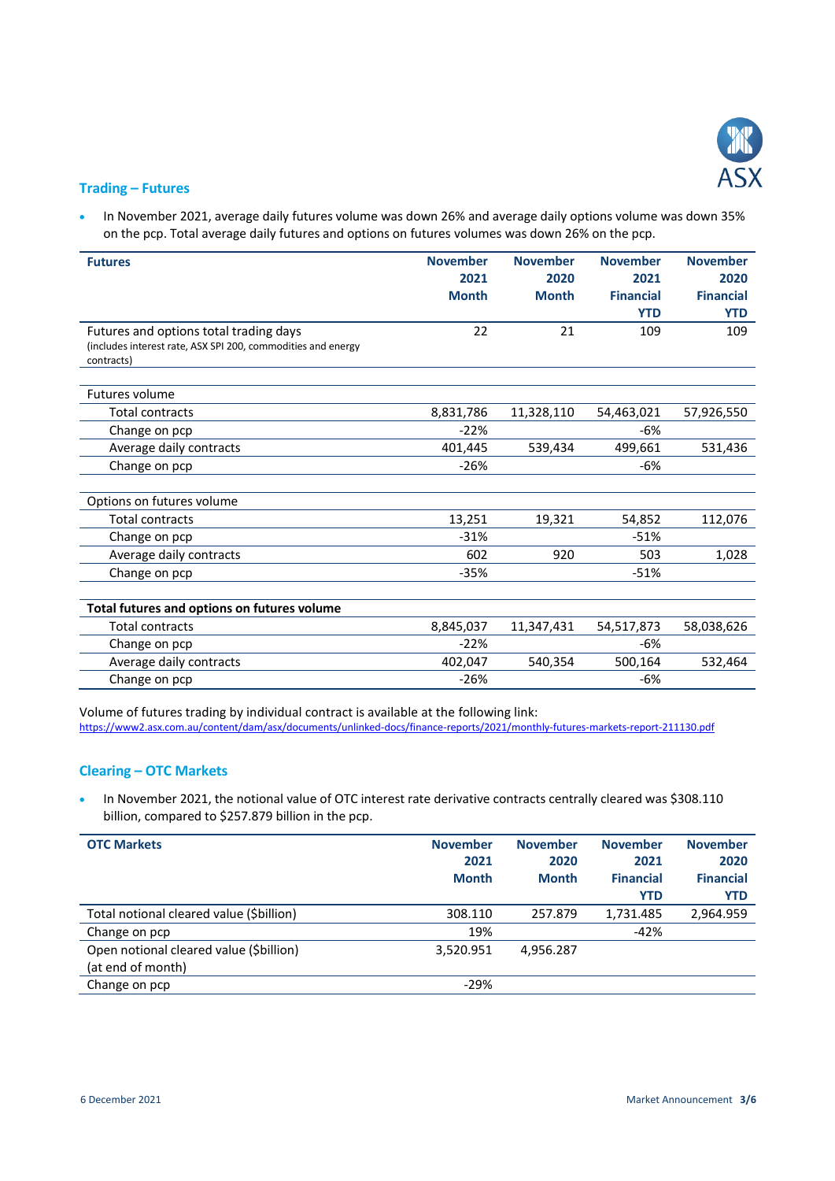

#### **Trading – Futures**

• In November 2021, average daily futures volume was down 26% and average daily options volume was down 35% on the pcp. Total average daily futures and options on futures volumes was down 26% on the pcp.

| <b>Futures</b>                                                                                                       | <b>November</b><br>2021<br><b>Month</b> | <b>November</b><br>2020<br><b>Month</b> | <b>November</b><br>2021<br><b>Financial</b><br><b>YTD</b> | <b>November</b><br>2020<br><b>Financial</b><br><b>YTD</b> |
|----------------------------------------------------------------------------------------------------------------------|-----------------------------------------|-----------------------------------------|-----------------------------------------------------------|-----------------------------------------------------------|
| Futures and options total trading days<br>(includes interest rate, ASX SPI 200, commodities and energy<br>contracts) | 22                                      | 21                                      | 109                                                       | 109                                                       |
| Futures volume                                                                                                       |                                         |                                         |                                                           |                                                           |
| <b>Total contracts</b>                                                                                               | 8,831,786                               | 11,328,110                              | 54,463,021                                                | 57,926,550                                                |
| Change on pcp                                                                                                        | $-22%$                                  |                                         | -6%                                                       |                                                           |
| Average daily contracts                                                                                              | 401,445                                 | 539,434                                 | 499,661                                                   | 531,436                                                   |
| Change on pcp                                                                                                        | $-26%$                                  |                                         | -6%                                                       |                                                           |
| Options on futures volume                                                                                            |                                         |                                         |                                                           |                                                           |
| <b>Total contracts</b>                                                                                               | 13,251                                  | 19,321                                  | 54,852                                                    | 112,076                                                   |
| Change on pcp                                                                                                        | $-31%$                                  |                                         | $-51%$                                                    |                                                           |
| Average daily contracts                                                                                              | 602                                     | 920                                     | 503                                                       | 1,028                                                     |
| Change on pcp                                                                                                        | $-35%$                                  |                                         | $-51%$                                                    |                                                           |
| Total futures and options on futures volume                                                                          |                                         |                                         |                                                           |                                                           |
| <b>Total contracts</b>                                                                                               | 8,845,037                               | 11,347,431                              | 54,517,873                                                | 58,038,626                                                |
| Change on pcp                                                                                                        | $-22%$                                  |                                         | $-6%$                                                     |                                                           |
| Average daily contracts                                                                                              | 402,047                                 | 540,354                                 | 500,164                                                   | 532,464                                                   |
| Change on pcp                                                                                                        | $-26%$                                  |                                         | $-6%$                                                     |                                                           |

Volume of futures trading by individual contract is available at the following link: <https://www2.asx.com.au/content/dam/asx/documents/unlinked-docs/finance-reports/2021/monthly-futures-markets-report-211130.pdf>

# **Clearing – OTC Markets**

 In November 2021, the notional value of OTC interest rate derivative contracts centrally cleared was \$308.110 billion, compared to \$257.879 billion in the pcp.

| <b>OTC Markets</b>                                           | <b>November</b><br>2021<br><b>Month</b> | <b>November</b><br>2020<br><b>Month</b> | <b>November</b><br>2021<br><b>Financial</b><br><b>YTD</b> | <b>November</b><br>2020<br><b>Financial</b><br><b>YTD</b> |
|--------------------------------------------------------------|-----------------------------------------|-----------------------------------------|-----------------------------------------------------------|-----------------------------------------------------------|
| Total notional cleared value (\$billion)                     | 308.110                                 | 257.879                                 | 1,731.485                                                 | 2,964.959                                                 |
| Change on pcp                                                | 19%                                     |                                         | -42%                                                      |                                                           |
| Open notional cleared value (\$billion)<br>(at end of month) | 3,520.951                               | 4,956.287                               |                                                           |                                                           |
| Change on pcp                                                | $-29%$                                  |                                         |                                                           |                                                           |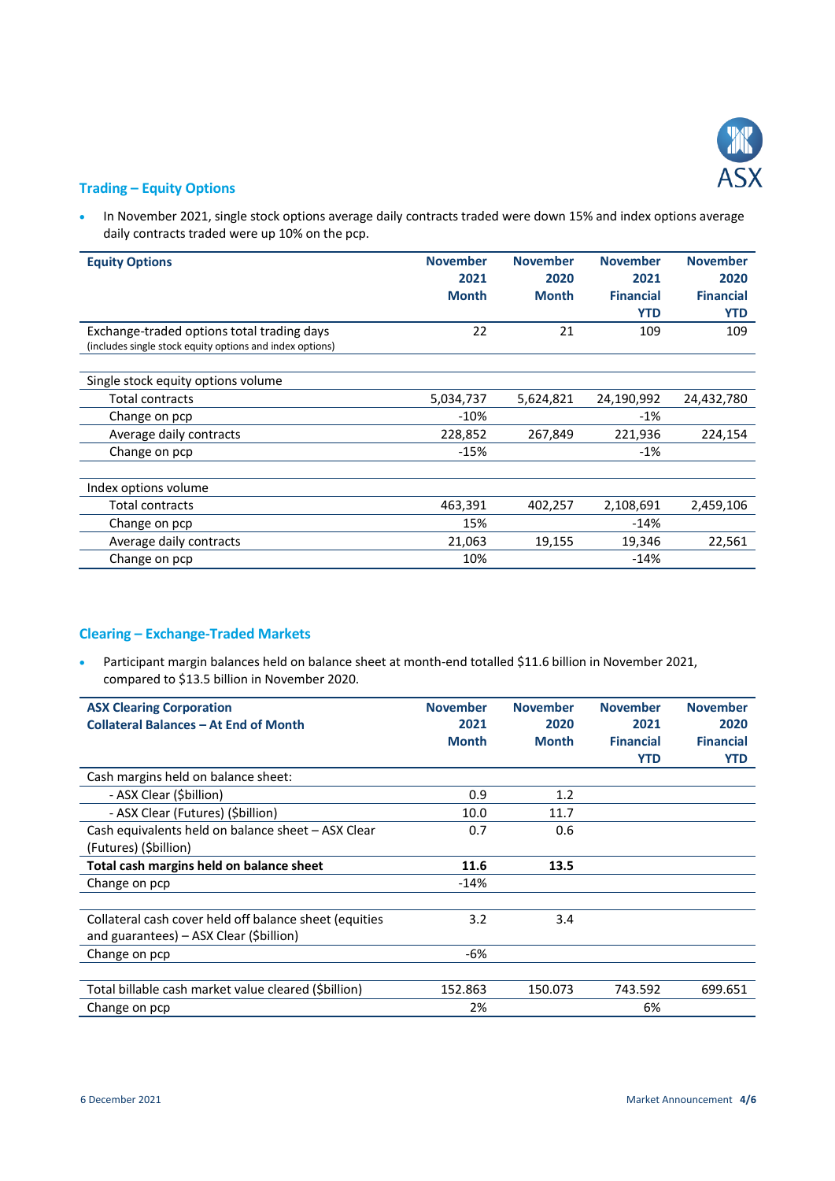

# **Trading – Equity Options**

• In November 2021, single stock options average daily contracts traded were down 15% and index options average daily contracts traded were up 10% on the pcp.

| <b>Equity Options</b>                                    | <b>November</b><br>2021 | <b>November</b><br>2020 | <b>November</b><br>2021 | <b>November</b><br>2020 |
|----------------------------------------------------------|-------------------------|-------------------------|-------------------------|-------------------------|
|                                                          | <b>Month</b>            | <b>Month</b>            | <b>Financial</b>        | <b>Financial</b>        |
|                                                          |                         |                         | <b>YTD</b>              | <b>YTD</b>              |
| Exchange-traded options total trading days               | 22                      | 21                      | 109                     | 109                     |
| (includes single stock equity options and index options) |                         |                         |                         |                         |
|                                                          |                         |                         |                         |                         |
| Single stock equity options volume                       |                         |                         |                         |                         |
| Total contracts                                          | 5,034,737               | 5,624,821               | 24,190,992              | 24,432,780              |
| Change on pcp                                            | $-10%$                  |                         | $-1%$                   |                         |
| Average daily contracts                                  | 228,852                 | 267,849                 | 221,936                 | 224,154                 |
| Change on pcp                                            | $-15%$                  |                         | $-1%$                   |                         |
|                                                          |                         |                         |                         |                         |
| Index options volume                                     |                         |                         |                         |                         |
| Total contracts                                          | 463,391                 | 402,257                 | 2,108,691               | 2,459,106               |
| Change on pcp                                            | 15%                     |                         | $-14%$                  |                         |
| Average daily contracts                                  | 21,063                  | 19,155                  | 19,346                  | 22,561                  |
| Change on pcp                                            | 10%                     |                         | $-14%$                  |                         |

# **Clearing – Exchange-Traded Markets**

 Participant margin balances held on balance sheet at month-end totalled \$11.6 billion in November 2021, compared to \$13.5 billion in November 2020.

| <b>ASX Clearing Corporation</b>                        | <b>November</b> | <b>November</b> | <b>November</b>  | <b>November</b>  |
|--------------------------------------------------------|-----------------|-----------------|------------------|------------------|
| <b>Collateral Balances - At End of Month</b>           | 2021            | 2020            | 2021             | 2020             |
|                                                        | <b>Month</b>    | <b>Month</b>    | <b>Financial</b> | <b>Financial</b> |
|                                                        |                 |                 | YTD              | <b>YTD</b>       |
| Cash margins held on balance sheet:                    |                 |                 |                  |                  |
| - ASX Clear (\$billion)                                | 0.9             | 1.2             |                  |                  |
| - ASX Clear (Futures) (Sbillion)                       | 10.0            | 11.7            |                  |                  |
| Cash equivalents held on balance sheet - ASX Clear     | 0.7             | 0.6             |                  |                  |
| (Futures) (Sbillion)                                   |                 |                 |                  |                  |
| Total cash margins held on balance sheet               | 11.6            | 13.5            |                  |                  |
| Change on pcp                                          | $-14%$          |                 |                  |                  |
|                                                        |                 |                 |                  |                  |
| Collateral cash cover held off balance sheet (equities | 3.2             | 3.4             |                  |                  |
| and guarantees) – ASX Clear (\$billion)                |                 |                 |                  |                  |
| Change on pcp                                          | -6%             |                 |                  |                  |
|                                                        |                 |                 |                  |                  |
| Total billable cash market value cleared (Sbillion)    | 152.863         | 150.073         | 743.592          | 699.651          |
| Change on pcp                                          | 2%              |                 | 6%               |                  |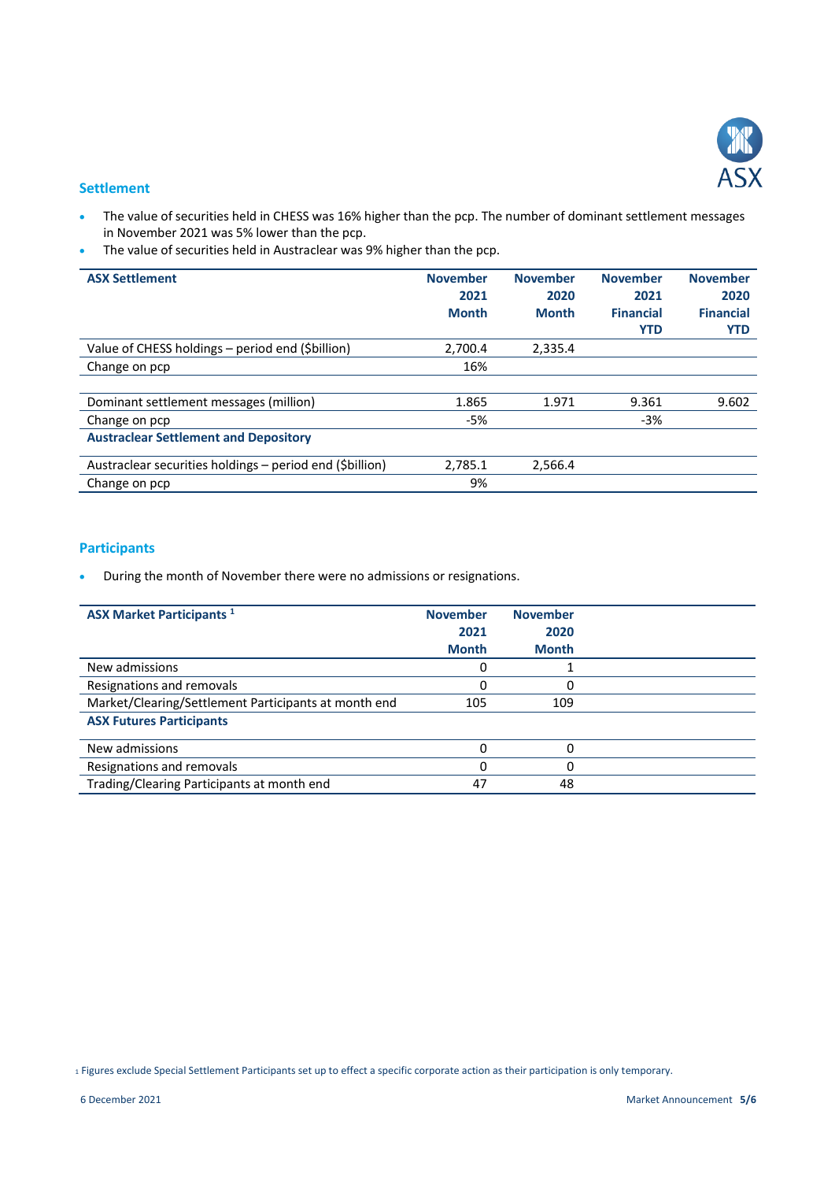

#### **Settlement**

- The value of securities held in CHESS was 16% higher than the pcp. The number of dominant settlement messages in November 2021 was 5% lower than the pcp.
- The value of securities held in Austraclear was 9% higher than the pcp.

| <b>ASX Settlement</b>                                    | <b>November</b><br>2021<br><b>Month</b> | <b>November</b><br>2020<br><b>Month</b> | <b>November</b><br>2021<br><b>Financial</b><br><b>YTD</b> | <b>November</b><br>2020<br><b>Financial</b><br><b>YTD</b> |
|----------------------------------------------------------|-----------------------------------------|-----------------------------------------|-----------------------------------------------------------|-----------------------------------------------------------|
| Value of CHESS holdings - period end (\$billion)         | 2.700.4                                 | 2,335.4                                 |                                                           |                                                           |
| Change on pcp                                            | 16%                                     |                                         |                                                           |                                                           |
|                                                          |                                         |                                         |                                                           |                                                           |
| Dominant settlement messages (million)                   | 1.865                                   | 1.971                                   | 9.361                                                     | 9.602                                                     |
| Change on pcp                                            | -5%                                     |                                         | $-3%$                                                     |                                                           |
| <b>Austraclear Settlement and Depository</b>             |                                         |                                         |                                                           |                                                           |
| Austraclear securities holdings - period end (\$billion) | 2,785.1                                 | 2,566.4                                 |                                                           |                                                           |
| Change on pcp                                            | 9%                                      |                                         |                                                           |                                                           |

# **Participants**

During the month of November there were no admissions or resignations.

| <b>ASX Market Participants 1</b>                     | <b>November</b><br>2021<br><b>Month</b> | <b>November</b><br>2020<br><b>Month</b> |  |
|------------------------------------------------------|-----------------------------------------|-----------------------------------------|--|
| New admissions                                       |                                         |                                         |  |
| Resignations and removals                            | O                                       | 0                                       |  |
| Market/Clearing/Settlement Participants at month end | 105                                     | 109                                     |  |
| <b>ASX Futures Participants</b>                      |                                         |                                         |  |
| New admissions                                       |                                         |                                         |  |
| Resignations and removals                            | 0                                       | 0                                       |  |
| Trading/Clearing Participants at month end           | 47                                      | 48                                      |  |

<sup>1</sup> Figures exclude Special Settlement Participants set up to effect a specific corporate action as their participation is only temporary.